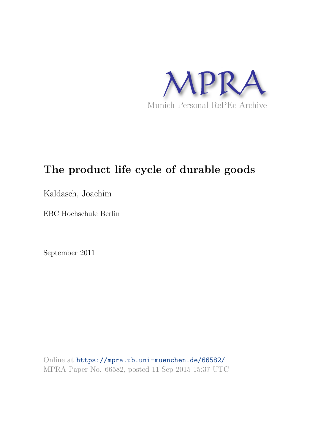

# **The product life cycle of durable goods**

Kaldasch, Joachim

EBC Hochschule Berlin

September 2011

Online at https://mpra.ub.uni-muenchen.de/66582/ MPRA Paper No. 66582, posted 11 Sep 2015 15:37 UTC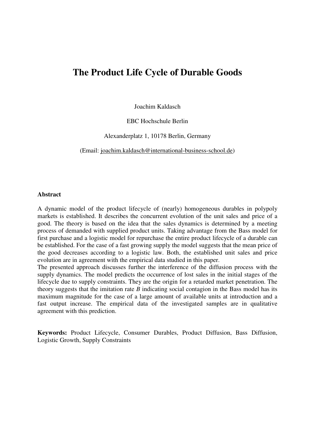## **The Product Life Cycle of Durable Goods**

Joachim Kaldasch

EBC Hochschule Berlin

Alexanderplatz 1, 10178 Berlin, Germany

(Email: [joachim.kaldasch@international-business-school.de\)](mailto:joachim.kaldasch@international-business-school.de)

#### **Abstract**

A dynamic model of the product lifecycle of (nearly) homogeneous durables in polypoly markets is established. It describes the concurrent evolution of the unit sales and price of a good. The theory is based on the idea that the sales dynamics is determined by a meeting process of demanded with supplied product units. Taking advantage from the Bass model for first purchase and a logistic model for repurchase the entire product lifecycle of a durable can be established. For the case of a fast growing supply the model suggests that the mean price of the good decreases according to a logistic law. Both, the established unit sales and price evolution are in agreement with the empirical data studied in this paper.

The presented approach discusses further the interference of the diffusion process with the supply dynamics. The model predicts the occurrence of lost sales in the initial stages of the lifecycle due to supply constraints. They are the origin for a retarded market penetration. The theory suggests that the imitation rate *B* indicating social contagion in the Bass model has its maximum magnitude for the case of a large amount of available units at introduction and a fast output increase. The empirical data of the investigated samples are in qualitative agreement with this prediction.

**Keywords:** Product Lifecycle, Consumer Durables, Product Diffusion, Bass Diffusion, Logistic Growth, Supply Constraints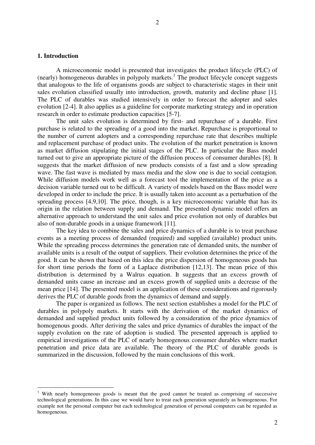<u>.</u>

 A microeconomic model is presented that investigates the product lifecycle (PLC) of (nearly) homogeneous durables in polypoly markets.<sup>1</sup> The product lifecycle concept suggests that analogous to the life of organisms goods are subject to characteristic stages in their unit sales evolution classified usually into introduction, growth, maturity and decline phase [1]. The PLC of durables was studied intensively in order to forecast the adopter and sales evolution [2-4]. It also applies as a guideline for corporate marketing strategy and in operation research in order to estimate production capacities [5-7].

The unit sales evolution is determined by first- and repurchase of a durable. First purchase is related to the spreading of a good into the market. Repurchase is proportional to the number of current adopters and a corresponding repurchase rate that describes multiple and replacement purchase of product units. The evolution of the market penetration is known as market diffusion stipulating the initial stages of the PLC. In particular the Bass model turned out to give an appropriate picture of the diffusion process of consumer durables [8]. It suggests that the market diffusion of new products consists of a fast and a slow spreading wave. The fast wave is mediated by mass media and the slow one is due to social contagion. While diffusion models work well as a forecast tool the implementation of the price as a decision variable turned out to be difficult. A variety of models based on the Bass model were developed in order to include the price. It is usually taken into account as a perturbation of the spreading process [4,9,10]. The price, though, is a key microeconomic variable that has its origin in the relation between supply and demand. The presented dynamic model offers an alternative approach to understand the unit sales and price evolution not only of durables but also of non-durable goods in a unique framework [11].

The key idea to combine the sales and price dynamics of a durable is to treat purchase events as a meeting process of demanded (required) and supplied (available) product units. While the spreading process determines the generation rate of demanded units, the number of available units is a result of the output of suppliers. Their evolution determines the price of the good. It can be shown that based on this idea the price dispersion of homogeneous goods has for short time periods the form of a Laplace distribution [12,13]. The mean price of this distribution is determined by a Walrus equation. It suggests that an excess growth of demanded units cause an increase and an excess growth of supplied units a decrease of the mean price [14]. The presented model is an application of these considerations and rigorously derives the PLC of durable goods from the dynamics of demand and supply.

 The paper is organized as follows. The next section establishes a model for the PLC of durables in polypoly markets. It starts with the derivation of the market dynamics of demanded and supplied product units followed by a consideration of the price dynamics of homogenous goods. After deriving the sales and price dynamics of durables the impact of the supply evolution on the rate of adoption is studied. The presented approach is applied to empirical investigations of the PLC of nearly homogenous consumer durables where market penetration and price data are available. The theory of the PLC of durable goods is summarized in the discussion, followed by the main conclusions of this work.

<sup>&</sup>lt;sup>1</sup> With nearly homogeneous goods is meant that the good cannot be treated as comprising of successive technological generations. In this case we would have to treat each generation separately as homogeneous. For example not the personal computer but each technological generation of personal computers can be regarded as homogeneous.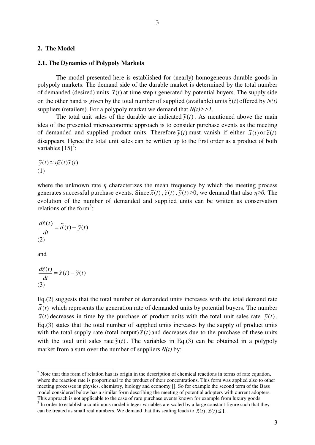#### **2. The Model**

#### **2.1. The Dynamics of Polypoly Markets**

The model presented here is established for (nearly) homogeneous durable goods in polypoly markets. The demand side of the durable market is determined by the total number of demanded (desired) units  $\tilde{x}(t)$  at time step *t* generated by potential buyers. The supply side on the other hand is given by the total number of supplied (available) units  $\tilde{z}(t)$  offered by  $N(t)$ suppliers (retailers). For a polypoly market we demand that  $N(t)$ >>1.

The total unit sales of the durable are indicated  $\tilde{y}(t)$ . As mentioned above the main idea of the presented microeconomic approach is to consider purchase events as the meeting of demanded and supplied product units. Therefore  $\tilde{y}(t)$  must vanish if either  $\tilde{x}(t)$  or  $\tilde{z}(t)$ disappears. Hence the total unit sales can be written up to the first order as a product of both variables  $\left[15\right]^2$ :

 $\widetilde{y}(t) \approx \eta \widetilde{z}(t) \widetilde{x}(t)$ (1)

where the unknown rate  $\eta$  characterizes the mean frequency by which the meeting process generates successful purchase events. Since  $\tilde{x}(t)$ ,  $\tilde{z}(t)$ ,  $\tilde{y}(t) \ge 0$ , we demand that also  $\eta \ge 0$ . The evolution of the number of demanded and supplied units can be written as conservation relations of the form<sup>3</sup>:

$$
\frac{d\widetilde{x}(t)}{dt} = \widetilde{d}(t) - \widetilde{y}(t)
$$
  
(2)

and

-

$$
\frac{d\tilde{z}(t)}{dt} = \tilde{s}(t) - \tilde{y}(t)
$$
  
(3)

Eq.(2) suggests that the total number of demanded units increases with the total demand rate  $\tilde{d}(t)$  which represents the generation rate of demanded units by potential buyers. The number  $\tilde{x}(t)$  decreases in time by the purchase of product units with the total unit sales rate  $\tilde{y}(t)$ . Eq.(3) states that the total number of supplied units increases by the supply of product units with the total supply rate (total output)  $\tilde{s}(t)$  and decreases due to the purchase of these units with the total unit sales rate  $\tilde{y}(t)$ . The variables in Eq.(3) can be obtained in a polypoly market from a sum over the number of suppliers  $N(t)$  by:

 $2$  Note that this form of relation has its origin in the description of chemical reactions in terms of rate equation, where the reaction rate is proportional to the product of their concentrations. This form was applied also to other meeting processes in physics, chemistry, biology and economy []. So for example the second term of the Bass model considered below has a similar form describing the meeting of potential adopters with current adopters. This approach is not applicable to the case of rare purchase events known for example from luxury goods.

<sup>&</sup>lt;sup>3</sup> In order to establish a continuous model integer variables are scaled by a large constant figure such that they can be treated as small real numbers. We demand that this scaling leads to  $\tilde{x}(t)$ ,  $\tilde{z}(t) \leq 1$ .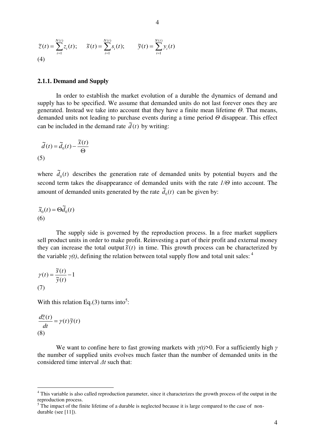$$
\widetilde{z}(t) = \sum_{i=1}^{N(t)} z_i(t); \quad \widetilde{s}(t) = \sum_{i=1}^{N(t)} s_i(t); \quad \widetilde{y}(t) = \sum_{i=1}^{N(t)} y_i(t)
$$
\n(4)

#### **2.1.1. Demand and Supply**

In order to establish the market evolution of a durable the dynamics of demand and supply has to be specified. We assume that demanded units do not last forever ones they are generated. Instead we take into account that they have a finite mean lifetime *Θ*. That means, demanded units not leading to purchase events during a time period *Θ* disappear. This effect can be included in the demand rate  $\tilde{d}(t)$  by writing:

$$
\widetilde{d}(t) = \widetilde{d}_0(t) - \frac{\widetilde{x}(t)}{\Theta}
$$
\n(5)

where  $\tilde{d}_0(t)$  describes the generation rate of demanded units by potential buyers and the second term takes the disappearance of demanded units with the rate *1/Θ* into account. The amount of demanded units generated by the rate  $\tilde{d}_0(t)$  can be given by:

$$
\widetilde{x}_0(t) = \Theta \widetilde{d}_0(t)
$$
\n(6)

The supply side is governed by the reproduction process. In a free market suppliers sell product units in order to make profit. Reinvesting a part of their profit and external money they can increase the total output  $\overrightarrow{s}(t)$  in time. This growth process can be characterized by the variable  $\gamma(t)$ , defining the relation between total supply flow and total unit sales:<sup>4</sup>

$$
\gamma(t) = \frac{\tilde{s}(t)}{\tilde{y}(t)} - 1
$$
  
(7)

With this relation Eq.(3) turns into<sup>5</sup>:

$$
\frac{d\tilde{z}(t)}{dt} = \gamma(t)\tilde{y}(t)
$$
  
(8)

We want to confine here to fast growing markets with *γ(t)*>0. For a sufficiently high *γ* the number of supplied units evolves much faster than the number of demanded units in the considered time interval *Δt* such that:

This variable is also called reproduction parameter, since it characterizes the growth process of the output in the<br><sup>4</sup> This variable is also called reproduction parameter, since it characterizes the growth process of the reproduction process.

 $<sup>5</sup>$  The impact of the finite lifetime of a durable is neglected because it is large compared to the case of non-</sup> durable (see [11]).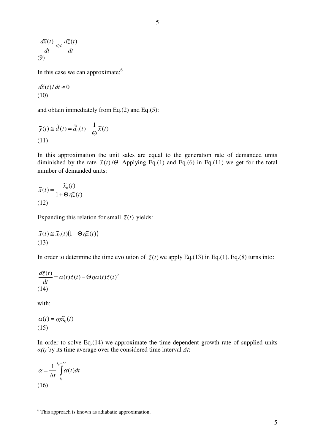$$
\frac{d\widetilde{x}(t)}{dt} << \frac{d\widetilde{z}(t)}{dt}
$$
  
(9)

In this case we can approximate: $6$ 

$$
d\tilde{x}(t)/dt \cong 0
$$
  
(10)

and obtain immediately from Eq.(2) and Eq.(5):

$$
\widetilde{y}(t) \cong \widetilde{d}(t) = \widetilde{d}_0(t) - \frac{1}{\Theta} \widetilde{x}(t)
$$
\n(11)

In this approximation the unit sales are equal to the generation rate of demanded units diminished by the rate  $\tilde{x}(t)/\Theta$ . Applying Eq.(1) and Eq.(6) in Eq.(11) we get for the total number of demanded units:

$$
\widetilde{x}(t) = \frac{\widetilde{x}_0(t)}{1 + \Theta \eta \widetilde{z}(t)}
$$
\n(12)

Expanding this relation for small  $\tilde{z}(t)$  yields:

$$
\widetilde{x}(t) \cong \widetilde{x}_0(t) \big(1 - \Theta \eta \widetilde{z}(t)\big)
$$
\n(13)

In order to determine the time evolution of  $\tilde{z}(t)$  we apply Eq.(13) in Eq.(1). Eq.(8) turns into:

$$
\frac{d\tilde{z}(t)}{dt} = \alpha(t)\tilde{z}(t) - \Theta\eta\alpha(t)\tilde{z}(t)^2
$$
\n(14)

with:

$$
\alpha(t) = \eta \tilde{\chi}_0(t)
$$
  
(15)

In order to solve Eq.(14) we approximate the time dependent growth rate of supplied units *α(t)* by its time average over the considered time interval *Δt*:

$$
\alpha = \frac{1}{\Delta t} \int_{t_0}^{t_0 + \Delta t} \alpha(t) dt
$$
\n(16)

**This approach is known as adiabatic approximation.**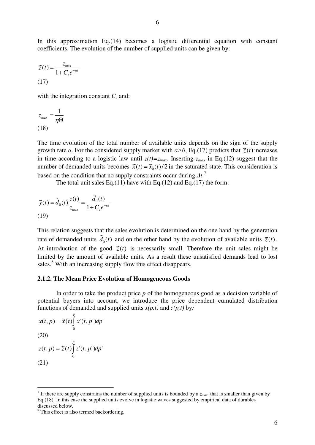In this approximation Eq.(14) becomes a logistic differential equation with constant coefficients. The evolution of the number of supplied units can be given by:

$$
\widetilde{z}(t) = \frac{z_{\text{max}}}{1 + C_z e^{-\alpha t}}
$$
\n(17)

with the integration constant *Cz* and:

$$
z_{\text{max}} = \frac{1}{\eta \Theta}
$$
\n(18)

The time evolution of the total number of available units depends on the sign of the supply growth rate *α*. For the considered supply market with  $\alpha > 0$ , Eq.(17) predicts that  $\tilde{z}(t)$  increases in time according to a logistic law until  $z(t)=z_{max}$ . Inserting  $z_{max}$  in Eq.(12) suggest that the number of demanded units becomes  $\tilde{x}(t) = \tilde{x}_0(t)/2$  in the saturated state. This consideration is based on the condition that no supply constraints occur during *Δt*. 7

The total unit sales Eq.(11) have with Eq.(12) and Eq.(17) the form:

$$
\widetilde{y}(t) = \widetilde{d}_0(t) \frac{z(t)}{z_{\text{max}}} = \frac{\widetilde{d}_0(t)}{1 + C_z e^{-\alpha t}}
$$
\n(19)

This relation suggests that the sales evolution is determined on the one hand by the generation rate of demanded units  $\tilde{d}_0(t)$  $\tilde{d}_0(t)$  and on the other hand by the evolution of available units  $\tilde{z}(t)$ . At introduction of the good  $\tilde{z}(t)$  is necessarily small. Therefore the unit sales might be limited by the amount of available units. As a result these unsatisfied demands lead to lost sales.<sup>8</sup> With an increasing supply flow this effect disappears.

#### **2.1.2. The Mean Price Evolution of Homogeneous Goods**

In order to take the product price *p* of the homogeneous good as a decision variable of potential buyers into account, we introduce the price dependent cumulated distribution functions of demanded and supplied units  $x(p,t)$  and  $z(p,t)$  by:

$$
x(t, p) = \tilde{x}(t) \int_{0}^{p} x'(t, p') dp'
$$
  
(20)  

$$
z(t, p) = \tilde{z}(t) \int_{0}^{p} z'(t, p') dp'
$$
  
(21)

<sup>&</sup>lt;u>.</u> <sup>7</sup> If there are supply constrains the number of supplied units is bounded by a  $z_{max}$  that is smaller than given by Eq.(18). In this case the supplied units evolve in logistic waves suggested by empirical data of durables discussed below.

<sup>&</sup>lt;sup>8</sup> This effect is also termed backordering.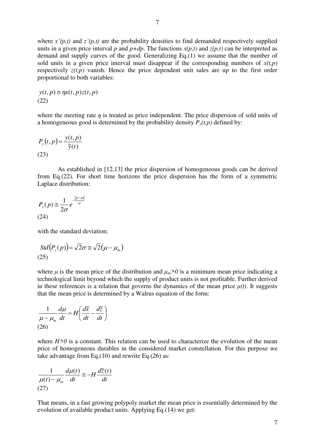where  $x'(p,t)$  and  $z'(p,t)$  are the probability densities to find demanded respectively supplied units in a given price interval *p* and  $p+dp$ . The functions  $x(p,t)$  and  $z(p,t)$  can be interpreted as demand and supply curves of the good. Generalizing Eq.(1) we assume that the number of sold units in a given price interval must disappear if the corresponding numbers of  $x(t,p)$ respectively  $z(t,p)$  vanish. Hence the price dependent unit sales are up to the first order proportional to both variables:

$$
y(t, p) \approx \eta x(t, p) z(t, p)
$$
  
(22)

where the meeting rate *η* is treated as price independent. The price dispersion of sold units of a homogeneous good is determined by the probability density  $P_y(t, p)$  defined by:

$$
P_{y}(t,p) = \frac{y(t,p)}{\tilde{y}(t)}
$$
\n(23)

As established in [12,13] the price dispersion of homogeneous goods can be derived from Eq.(22). For short time horizons the price dispersion has the form of a symmetric Laplace distribution:

$$
P_{y}(p) \approx \frac{1}{2\sigma} e^{-\frac{|p-\mu|}{\sigma}}
$$
\n(24)

with the standard deviation:

$$
Std(P_y(p)) = \sqrt{2}\sigma \cong \sqrt{2}(\mu - \mu_m)
$$
\n(25)

where  $\mu$  is the mean price of the distribution and  $\mu_m > 0$  is a minimum mean price indicating a technological limit beyond which the supply of product units is not profitable. Further derived in these references is a relation that governs the dynamics of the mean price  $\mu(t)$ . It suggests that the mean price is determined by a Walrus equation of the form:

$$
\frac{1}{\mu - \mu_m} \frac{d\mu}{dt} = H \left( \frac{d\tilde{x}}{dt} - \frac{d\tilde{z}}{dt} \right)
$$
\n(26)

where  $H > 0$  is a constant. This relation can be used to characterize the evolution of the mean price of homogeneous durables in the considered market constellation. For this purpose we take advantage from Eq.(10) and rewrite Eq.(26) as:

$$
\frac{1}{\mu(t) - \mu_m} \frac{d\mu(t)}{dt} \approx -H \frac{d\overline{z}(t)}{dt}
$$
\n(27)

That means, in a fast growing polypoly market the mean price is essentially determined by the evolution of available product units. Applying Eq.(14) we get: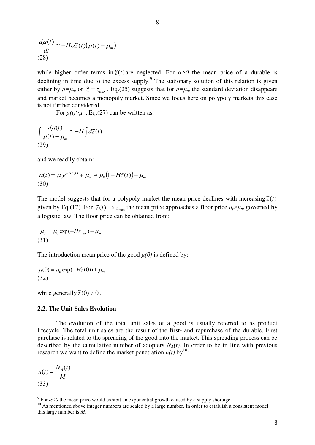$$
\frac{d\mu(t)}{dt} \approx -H\alpha \tilde{z}(t)\big(\mu(t) - \mu_m\big)
$$
\n(28)

while higher order terms in  $\tilde{z}(t)$  are neglected. For  $\alpha > 0$  the mean price of a durable is declining in time due to the excess supply.<sup>9</sup> The stationary solution of this relation is given either by  $\mu = \mu_m$  or  $\tilde{z} = z_{\text{max}}$ . Eq.(25) suggests that for  $\mu = \mu_m$  the standard deviation disappears and market becomes a monopoly market. Since we focus here on polypoly markets this case is not further considered.

For  $\mu(t) > \mu_m$ , Eq.(27) can be written as:

$$
\int \frac{d\mu(t)}{\mu(t) - \mu_m} \approx -H \int d\tilde{z}(t)
$$
\n(29)

and we readily obtain:

$$
\mu(t) = \mu_0 e^{-H\widetilde{z}(t)} + \mu_m \cong \mu_0 \big( 1 - H\widetilde{z}(t) \big) + \mu_m
$$
\n(30)

The model suggests that for a polypoly market the mean price declines with increasing  $\tilde{z}(t)$ given by Eq.(17). For  $\tilde{z}(t) \rightarrow z_{\text{max}}$  the mean price approaches a floor price  $\mu_f > \mu_m$  governed by a logistic law. The floor price can be obtained from:

$$
\mu_f = \mu_0 \exp(-Hz_{\text{max}}) + \mu_m
$$
\n(31)

The introduction mean price of the good  $\mu(0)$  is defined by:

$$
\mu(0) = \mu_0 \exp(-H\tilde{z}(0)) + \mu_m
$$
\n(32)

while generally  $\tilde{z}(0) \neq 0$ .

#### **2.2. The Unit Sales Evolution**

The evolution of the total unit sales of a good is usually referred to as product lifecycle. The total unit sales are the result of the first- and repurchase of the durable. First purchase is related to the spreading of the good into the market. This spreading process can be described by the cumulative number of adopters  $N_A(t)$ . In order to be in line with previous research we want to define the market penetration  $n(t)$  by<sup>10</sup>:

$$
n(t) = \frac{N_A(t)}{M}
$$
\n(33)

 9 For *α<0* the mean price would exhibit an exponential growth caused by a supply shortage.

<sup>&</sup>lt;sup>10</sup> As mentioned above integer numbers are scaled by a large number. In order to establish a consistent model this large number is *M*.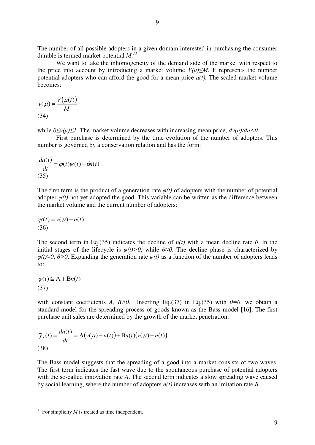The number of all possible adopters in a given domain interested in purchasing the consumer durable is termed market potential *M*. *11*

We want to take the inhomogeneity of the demand side of the market with respect to the price into account by introducing a market volume  $V(\mu) \leq M$ . It represents the number potential adopters who can afford the good for a mean price  $\mu(t)$ . The scaled market volume becomes:

$$
v(\mu) = \frac{V(\mu(t))}{M}
$$
\n(34)

while  $0 \le v(u) \le 1$ . The market volume decreases with increasing mean price,  $dv(u)/du \le 0$ .

First purchase is determined by the time evolution of the number of adopters. This number is governed by a conservation relation and has the form:

$$
\frac{dn(t)}{dt} = \varphi(t)\psi(t) - \theta n(t)
$$
\n(35)

The first term is the product of a generation rate  $\varphi(t)$  of adopters with the number of potential adopter  $\psi(t)$  not yet adopted the good. This variable can be written as the difference between the market volume and the current number of adopters:

$$
\psi(t) = v(\mu) - n(t)
$$
  
(36)

The second term in Eq.(35) indicates the decline of  $n(t)$  with a mean decline rate  $\theta$ . In the initial stages of the lifecycle is  $\varphi(t) > 0$ , while  $\theta \approx 0$ . The decline phase is characterized by *φ(t)≈0*, *θ>0*. Expanding the generation rate *φ(t)* as a function of the number of adopters leads to:

$$
\varphi(t) \cong A + Bn(t)
$$
  
(37)

-

with constant coefficients *A, B>0*. Inserting Eq.(37) in Eq.(35) with  $\theta=0$ , we obtain a standard model for the spreading process of goods known as the Bass model [16]. The first purchase unit sales are determined by the growth of the market penetration:

$$
\widetilde{y}_f(t) = \frac{dn(t)}{dt} = A(v(\mu) - n(t)) + Bn(t)(v(\mu) - n(t))
$$
\n(38)

The Bass model suggests that the spreading of a good into a market consists of two waves. The first term indicates the fast wave due to the spontaneous purchase of potential adopters with the so-called innovation rate *A*. The second term indicates a slow spreading wave caused by social learning, where the number of adopters *n(t)* increases with an imitation rate *B*.

<sup>&</sup>lt;sup>11</sup> For simplicity  $M$  is treated as time independent.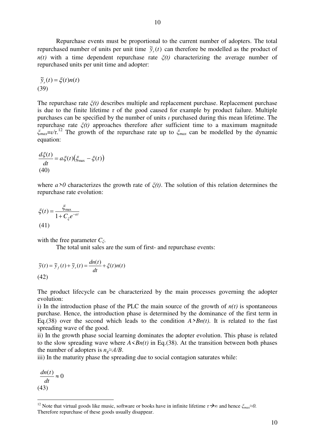Repurchase events must be proportional to the current number of adopters. The total repurchased number of units per unit time  $\tilde{y}_r(t)$  can therefore be modelled as the product of *n(t)* with a time dependent repurchase rate  $\zeta(t)$  characterizing the average number of repurchased units per unit time and adopter:

$$
\widetilde{y}_r(t) = \xi(t)n(t)
$$
\n(39)

The repurchase rate *ξ(t)* describes multiple and replacement purchase. Replacement purchase is due to the finite lifetime  $\tau$  of the good caused for example by product failure. Multiple purchases can be specified by the number of units *ι* purchased during this mean lifetime. The repurchase rate *ξ(t)* approaches therefore after sufficient time to a maximum magnitude *ξmax*=*ι/τ*. <sup>12</sup> The growth of the repurchase rate up to *ξmax* can be modelled by the dynamic equation:

$$
\frac{d\xi(t)}{dt} = a\xi(t)\big(\xi_{\text{max}} - \xi(t)\big)
$$
\n(40)

where *a>0* characterizes the growth rate of *ξ(t)*. The solution of this relation determines the repurchase rate evolution:

$$
\xi(t) = \frac{\xi_{\text{max}}}{1 + C_{\xi}e^{-at}}
$$
\n(41)

with the free parameter *Cξ*.

The total unit sales are the sum of first- and repurchase events:

$$
\tilde{y}(t) = \tilde{y}_f(t) + \tilde{y}_r(t) = \frac{dn(t)}{dt} + \xi(t)n(t)
$$
\n(42)

The product lifecycle can be characterized by the main processes governing the adopter evolution:

i) In the introduction phase of the PLC the main source of the growth of  $n(t)$  is spontaneous purchase. Hence, the introduction phase is determined by the dominance of the first term in Eq.(38) over the second which leads to the condition  $A > Bn(t)$ . It is related to the fast spreading wave of the good.

ii) In the growth phase social learning dominates the adopter evolution. This phase is related to the slow spreading wave where  $A \le Bn(t)$  in Eq.(38). At the transition between both phases the number of adopters is  $n_e \approx A/B$ .

iii) In the maturity phase the spreading due to social contagion saturates while:

 $\frac{(t)}{t} \approx 0$ *dt dn t* (43)

-

<sup>12</sup> Note that virtual goods like music, software or books have in infinite lifetime *τ∞* and hence *ξmax*≈*0.* Therefore repurchase of these goods usually disappear.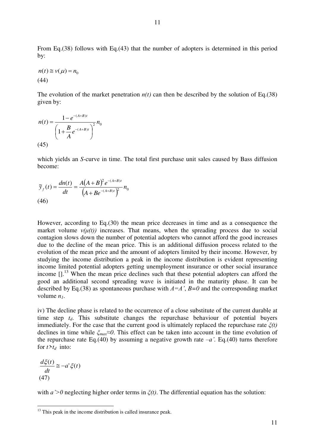From Eq.(38) follows with Eq.(43) that the number of adopters is determined in this period by:

$$
n(t) \cong v(\mu) = n_0
$$
\n(44)

The evolution of the market penetration  $n(t)$  can then be described by the solution of Eq.(38) given by:

$$
n(t) = \frac{1 - e^{-(A+B)t}}{\left(1 + \frac{B}{A}e^{-(A+B)t}\right)^2} n_0
$$
\n(45)

which yields an *S*-curve in time. The total first purchase unit sales caused by Bass diffusion become:

$$
\widetilde{y}_f(t) = \frac{dn(t)}{dt} = \frac{A(A+B)^2 e^{-(A+B)t}}{(A+Be^{-(A+B)t})^2} n_0
$$
\n(46)

However, according to Eq.(30) the mean price decreases in time and as a consequence the market volume  $v(\mu(t))$  increases. That means, when the spreading process due to social contagion slows down the number of potential adopters who cannot afford the good increases due to the decline of the mean price. This is an additional diffusion process related to the evolution of the mean price and the amount of adopters limited by their income. However, by studying the income distribution a peak in the income distribution is evident representing income limited potential adopters getting unemployment insurance or other social insurance income  $[1]$ <sup>13</sup> When the mean price declines such that these potential adopters can afford the good an additional second spreading wave is initiated in the maturity phase. It can be described by Eq.(38) as spontaneous purchase with *A=A'*, *B=0* and the corresponding market volume *n1*.

iv) The decline phase is related to the occurrence of a close substitute of the current durable at time step *td*. This substitute changes the repurchase behaviour of potential buyers immediately. For the case that the current good is ultimately replaced the repurchase rate *ξ(t)* declines in time while *ξmax*≈*0*. This effect can be taken into account in the time evolution of the repurchase rate Eq.(40) by assuming a negative growth rate  $-a'$ . Eq.(40) turns therefore for  $t > t_d$  into:

$$
\frac{d\xi(t)}{dt} \equiv -a'\xi(t)
$$
  
(47)

-

with *a'>0* neglecting higher order terms in *ξ(t)*. The differential equation has the solution:

 $13$  This peak in the income distribution is called insurance peak.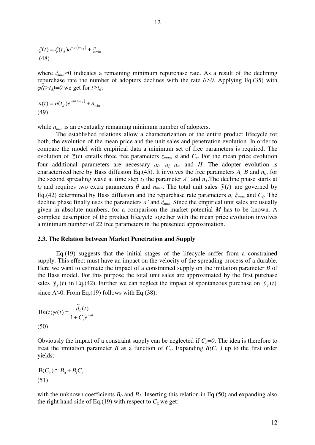$$
\xi(t) = \xi(t_d)e^{-a'(t-t_d)} + \xi_{\min}
$$
\n(48)

where *ξmin*≈0 indicates a remaining minimum repurchase rate. As a result of the declining repurchase rate the number of adopters declines with the rate *θ>0*. Applying Eq.(35) with  $\varphi(t>t_d)=0$  we get for  $t>t_d$ :

$$
n(t) = n(td)e-\theta(t-td) + nmin
$$
\n(49)

while  $n_{min}$  is an eventually remaining minimum number of adopters.

The established relations allow a characterization of the entire product lifecycle for both, the evolution of the mean price and the unit sales and penetration evolution. In order to compare the model with empirical data a minimum set of free parameters is required. The evolution of  $\tilde{z}(t)$  entails three free parameters  $z_{max}$ ,  $\alpha$  and  $C_z$ . For the mean price evolution four additional parameters are necessary  $\mu_0$ ,  $\mu_f$ ,  $\mu_m$  and *H*. The adopter evolution is characterized here by Bass diffusion Eq.(45). It involves the free parameters *A, B* and *n0*, for the second spreading wave at time step  $t<sub>l</sub>$  the parameter *A'* and  $n<sub>l</sub>$ . The decline phase starts at  $t_d$  and requires two extra parameters  $\theta$  and  $n_{min}$ . The total unit sales  $\tilde{y}(t)$  are governed by Eq.(42) determined by Bass diffusion and the repurchase rate parameters *a, ξmax* and *Cξ*. The decline phase finally uses the parameters *a'* and *ξmin.* Since the empirical unit sales are usually given in absolute numbers, for a comparison the market potential *M* has to be known. A complete description of the product lifecycle together with the mean price evolution involves a minimum number of 22 free parameters in the presented approximation.

#### **2.3. The Relation between Market Penetration and Supply**

Eq.(19) suggests that the initial stages of the lifecycle suffer from a constrained supply. This effect must have an impact on the velocity of the spreading process of a durable. Here we want to estimate the impact of a constrained supply on the imitation parameter *B* of the Bass model. For this purpose the total unit sales are approximated by the first purchase sales  $\tilde{y}_f(t)$  in Eq.(42). Further we can neglect the impact of spontaneous purchase on  $\tilde{y}_f(t)$ since A≈0. From Eq.(19) follows with Eq.(38):

$$
Bn(t)\psi(t) \approx \frac{\tilde{d}_0(t)}{1 + C_z e^{-\alpha t}}
$$
\n(50)

Obviously the impact of a constraint supply can be neglected if *Cz=0*. The idea is therefore to treat the imitation parameter *B* as a function of  $C_z$ . Expanding  $B(C_z)$  up to the first order yields:

$$
B(C_z) \cong B_0 + B_1 C_z
$$
\n(51)

with the unknown coefficients  $B_0$  and  $B_1$ . Inserting this relation in Eq.(50) and expanding also the right hand side of Eq.(19) with respect to  $C<sub>z</sub>$  we get: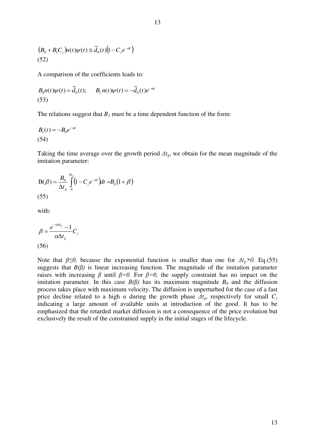$$
(B_0 + B_1 C_z) n(t) \psi(t) \cong \tilde{d}_0(t) \big(1 - C_z e^{-\alpha t}\big)
$$
\n(52)

A comparison of the coefficients leads to:

$$
B_0 n(t)\psi(t) = \tilde{d}_0(t); \qquad B_1 n(t)\psi(t) = -\tilde{d}_0(t)e^{-\alpha t}
$$
\n(53)

The relations suggest that  $B_I$  must be a time dependent function of the form:

$$
B_1(t) = -B_0 e^{-\alpha t}
$$
\n(54)

Taking the time average over the growth period *Δtg*, we obtain for the mean magnitude of the imitation parameter:

$$
B(\beta) = \frac{B_0}{\Delta t_g} \int_{0}^{\Delta t_g} (1 - C_z e^{-\alpha t}) dt = B_0 (1 + \beta)
$$
\n(55)

with:

$$
\beta = \frac{e^{-\alpha \Delta t_s} - 1}{\alpha \Delta t_s} C_z
$$
\n(56)

Note that  $\beta \leq 0$ , because the exponential function is smaller than one for  $\Delta t_g > 0$ . Eq.(55) suggests that  $B(\beta)$  is linear increasing function. The magnitude of the imitation parameter raises with increasing  $\beta$  until  $\beta=0$ . For  $\beta=0$ , the supply constraint has no impact on the imitation parameter. In this case  $B(\beta)$  has its maximum magnitude  $B_0$  and the diffusion process takes place with maximum velocity. The diffusion is unperturbed for the case of a fast price decline related to a high  $\alpha$  during the growth phase  $\Delta t_g$ , respectively for small  $C_z$ indicating a large amount of available units at introduction of the good. It has to be emphasized that the retarded market diffusion is not a consequence of the price evolution but exclusively the result of the constrained supply in the initial stages of the lifecycle.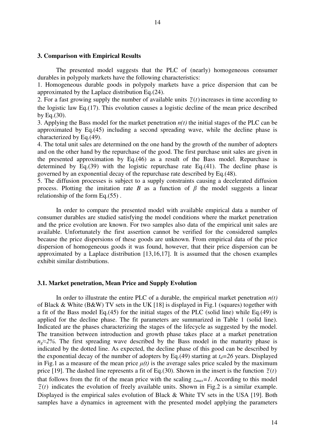#### **3. Comparison with Empirical Results**

The presented model suggests that the PLC of (nearly) homogeneous consumer durables in polypoly markets have the following characteristics:

14

1. Homogeneous durable goods in polypoly markets have a price dispersion that can be approximated by the Laplace distribution Eq.(24).

2. For a fast growing supply the number of available units  $\tilde{z}(t)$  increases in time according to the logistic law Eq.(17). This evolution causes a logistic decline of the mean price described by Eq. $(30)$ .

3. Applying the Bass model for the market penetration *n(t)* the initial stages of the PLC can be approximated by Eq.(45) including a second spreading wave, while the decline phase is characterized by Eq.(49).

4. The total unit sales are determined on the one hand by the growth of the number of adopters and on the other hand by the repurchase of the good. The first purchase unit sales are given in the presented approximation by Eq.(46) as a result of the Bass model. Repurchase is determined by Eq.(39) with the logistic repurchase rate Eq.(41). The decline phase is governed by an exponential decay of the repurchase rate described by Eq.(48).

5. The diffusion processes is subject to a supply constraints causing a decelerated diffusion process. Plotting the imitation rate *B* as a function of *β* the model suggests a linear relationship of the form Eq.(55) .

In order to compare the presented model with available empirical data a number of consumer durables are studied satisfying the model conditions where the market penetration and the price evolution are known. For two samples also data of the empirical unit sales are available. Unfortunately the first assertion cannot be verified for the considered samples because the price dispersions of these goods are unknown. From empirical data of the price dispersion of homogeneous goods it was found, however, that their price dispersion can be approximated by a Laplace distribution [13,16,17]. It is assumed that the chosen examples exhibit similar distributions.

#### **3.1. Market penetration, Mean Price and Supply Evolution**

In order to illustrate the entire PLC of a durable, the empirical market penetration  $n(t)$ of Black & White (B&W) TV sets in the UK [18] is displayed in Fig.1 (squares) together with a fit of the Bass model Eq.(45) for the initial stages of the PLC (solid line) while Eq.(49) is applied for the decline phase. The fit parameters are summarized in Table 1 (solid line). Indicated are the phases characterizing the stages of the lifecycle as suggested by the model. The transition between introduction and growth phase takes place at a market penetration  $n_e \approx 2\%$ . The first spreading wave described by the Bass model in the maturity phase is indicated by the dotted line. As expected, the decline phase of this good can be described by the exponential decay of the number of adopters by Eq.(49) starting at  $t_d$ =26 years. Displayed in Fig.1 as a measure of the mean price  $\mu(t)$  is the average sales price scaled by the maximum price [19]. The dashed line represents a fit of Eq.(30). Shown in the insert is the function  $\tilde{z}(t)$ that follows from the fit of the mean price with the scaling  $z_{max} = 1$ . According to this model  $\tilde{z}(t)$  indicates the evolution of freely available units. Shown in Fig.2 is a similar example. Displayed is the empirical sales evolution of Black & White TV sets in the USA [19]. Both samples have a dynamics in agreement with the presented model applying the parameters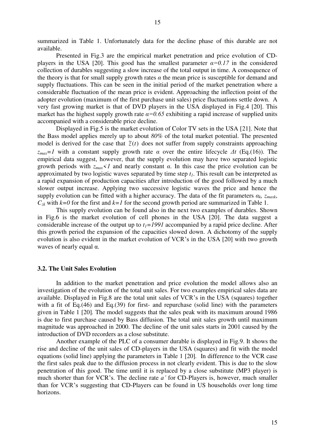summarized in Table 1. Unfortunately data for the decline phase of this durable are not

Presented in Fig.3 are the empirical market penetration and price evolution of CDplayers in the USA [20]. This good has the smallest parameter  $\alpha = 0.17$  in the considered collection of durables suggesting a slow increase of the total output in time. A consequence of the theory is that for small supply growth rates  $\alpha$  the mean price is susceptible for demand and supply fluctuations. This can be seen in the initial period of the market penetration where a considerable fluctuation of the mean price is evident. Approaching the inflection point of the adopter evolution (maximum of the first purchase unit sales) price fluctuations settle down. A very fast growing market is that of DVD players in the USA displayed in Fig.4 [20]. This market has the highest supply growth rate  $\alpha = 0.65$  exhibiting a rapid increase of supplied units accompanied with a considerable price decline.

Displayed in Fig.5 is the market evolution of Color TV sets in the USA [21]. Note that the Bass model applies merely up to about *80%* of the total market potential. The presented model is derived for the case that  $\tilde{z}(t)$  does not suffer from supply constraints approaching *zmax=1* with a constant supply growth rate *α* over the entire lifecycle *Δt* (Eq.(16)). The empirical data suggest, however, that the supply evolution may have two separated logistic growth periods with *zmax<1* and nearly constant *α*. In this case the price evolution can be approximated by two logistic waves separated by time step *t1*. This result can be interpreted as a rapid expansion of production capacities after introduction of the good followed by a much slower output increase. Applying two successive logistic waves the price and hence the supply evolution can be fitted with a higher accuracy. The data of the fit parameters  $\alpha_k$ ,  $z_{maxk}$ ,  $C_{\lambda k}$  with  $k=0$  for the first and  $k=1$  for the second growth period are summarized in Table 1.

This supply evolution can be found also in the next two examples of durables. Shown in Fig.6 is the market evolution of cell phones in the USA [20]. The data suggest a considerable increase of the output up to  $t_1 = 1991$  accompanied by a rapid price decline. After this growth period the expansion of the capacities slowed down. A dichotomy of the supply evolution is also evident in the market evolution of VCR's in the USA [20] with two growth waves of nearly equal  $\alpha$ .

#### **3.2. The Unit Sales Evolution**

available.

In addition to the market penetration and price evolution the model allows also an investigation of the evolution of the total unit sales. For two examples empirical sales data are available. Displayed in Fig.8 are the total unit sales of VCR's in the USA (squares) together with a fit of Eq.(46) and Eq.(39) for first- and repurchase (solid line) with the parameters given in Table 1 [20]*.* The model suggests that the sales peak with its maximum around 1986 is due to first purchase caused by Bass diffusion. The total unit sales growth until maximum magnitude was approached in 2000. The decline of the unit sales starts in 2001 caused by the introduction of DVD recorders as a close substitute.

Another example of the PLC of a consumer durable is displayed in Fig.9. It shows the rise and decline of the unit sales of CD-players in the USA (squares) and fit with the model equations (solid line) applying the parameters in Table 1 [20]*.* In difference to the VCR case the first sales peak due to the diffusion process in not clearly evident. This is due to the slow penetration of this good. The time until it is replaced by a close substitute (MP3 player) is much shorter than for VCR's. The decline rate *a'* for CD-Players is, however, much smaller than for VCR's suggesting that CD-Players can be found in US households over long time horizons.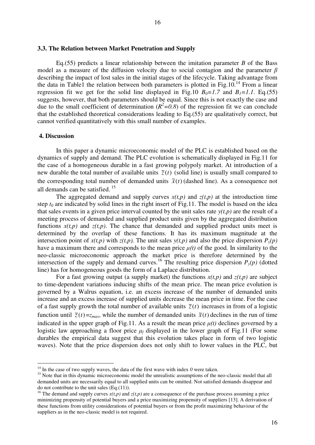#### **3.3. The Relation between Market Penetration and Supply**

Eq.(55) predicts a linear relationship between the imitation parameter *B* of the Bass model as a measure of the diffusion velocity due to social contagion and the parameter *β* describing the impact of lost sales in the initial stages of the lifecycle. Taking advantage from the data in Table1 the relation between both parameters is plotted in Fig.10.<sup>14</sup> From a linear regression fit we get for the solid line displayed in Fig.10  $B_0 = 1.7$  and  $B_1 = 1.1$ . Eq.(55) suggests, however, that both parameters should be equal. Since this is not exactly the case and due to the small coefficient of determination  $(R^2=0.8)$  of the regression fit we can conclude that the established theoretical considerations leading to Eq.(55) are qualitatively correct, but cannot verified quantitatively with this small number of examples.

#### **4. Discussion**

-

 In this paper a dynamic microeconomic model of the PLC is established based on the dynamics of supply and demand. The PLC evolution is schematically displayed in Fig.11 for the case of a homogeneous durable in a fast growing polypoly market. At introduction of a new durable the total number of available units  $\tilde{z}(t)$  (solid line) is usually small compared to the corresponding total number of demanded units  $\tilde{x}(t)$  (dashed line). As a consequence not all demands can be satisfied.<sup>15</sup>

The aggregated demand and supply curves  $x(t,p)$  and  $z(t,p)$  at the introduction time step  $t_0$  are indicated by solid lines in the right insert of Fig.11. The model is based on the idea that sales events in a given price interval counted by the unit sales rate  $y(t, p)$  are the result of a meeting process of demanded and supplied product units given by the aggregated distribution functions  $x(t,p)$  and  $z(t,p)$ . The chance that demanded and supplied product units meet is determined by the overlap of these functions*.* It has its maximum magnitude at the intersection point of  $x(t,p)$  with  $z(t,p)$ . The unit sales  $y(t,p)$  and also the price dispersion  $P_y(p)$ have a maximum there and corresponds to the mean price  $\mu(t)$  of the good. In similarity to the neo-classic microeconomic approach the market price is therefore determined by the intersection of the supply and demand curves.<sup>16</sup> The resulting price dispersion  $P_y(p)$  (dotted line) has for homogeneous goods the form of a Laplace distribution.

For a fast growing output (a supply market) the functions  $x(t,p)$  and  $z(t,p)$  are subject to time-dependent variations inducing shifts of the mean price. The mean price evolution is governed by a Walrus equation, i.e. an excess increase of the number of demanded units increase and an excess increase of supplied units decrease the mean price in time. For the case of a fast supply growth the total number of available units  $\tilde{z}(t)$  increases in from of a logistic function until  $\tilde{z}(t) = z_{max}$ , while the number of demanded units  $\tilde{x}(t)$  declines in the run of time indicated in the upper graph of Fig.11. As a result the mean price  $\mu(t)$  declines governed by a logistic law approaching a floor price *μ<sup>f</sup>* displayed in the lower graph of Fig.11 (For some durables the empirical data suggest that this evolution takes place in form of two logistic waves). Note that the price dispersion does not only shift to lower values in the PLC, but

<sup>&</sup>lt;sup>14</sup> In the case of two supply waves, the data of the first wave with index  $0$  were taken.

<sup>&</sup>lt;sup>15</sup> Note that in this dynamic microeconomic model the unrealistic assumptions of the neo-classic model that all demanded units are necessarily equal to all supplied units can be omitted. Not satisfied demands disappear and do not contribute to the unit sales (Eq.(11)).

<sup>&</sup>lt;sup>16</sup> The demand and supply curves  $x(t,p)$  and  $z(t,p)$  are a consequence of the purchase process assuming a price minimizing propensity of potential buyers and a price maximizing propensity of suppliers [13]. A derivation of these functions from utility considerations of potential buyers or from the profit maximizing behaviour of the suppliers as in the neo-classic model is not required.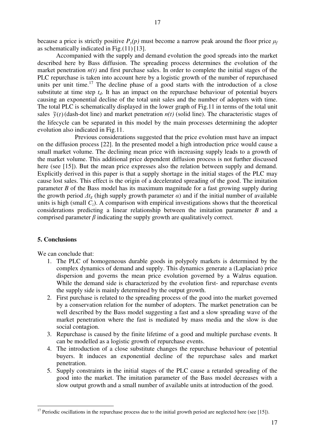because a price is strictly positive  $P_y(p)$  must become a narrow peak around the floor price  $\mu_f$ as schematically indicated in Fig.(11) [13].

 Accompanied with the supply and demand evolution the good spreads into the market described here by Bass diffusion. The spreading process determines the evolution of the market penetration  $n(t)$  and first purchase sales. In order to complete the initial stages of the PLC repurchase is taken into account here by a logistic growth of the number of repurchased units per unit time.<sup>17</sup> The decline phase of a good starts with the introduction of a close substitute at time step  $t_d$ . It has an impact on the repurchase behaviour of potential buyers causing an exponential decline of the total unit sales and the number of adopters with time. The total PLC is schematically displayed in the lower graph of Fig.11 in terms of the total unit sales  $\tilde{y}(t)$  (dash-dot line) and market penetration  $n(t)$  (solid line). The characteristic stages of the lifecycle can be separated in this model by the main processes determining the adopter evolution also indicated in Fig.11.

 Previous considerations suggested that the price evolution must have an impact on the diffusion process [22]. In the presented model a high introduction price would cause a small market volume. The declining mean price with increasing supply leads to a growth of the market volume. This additional price dependent diffusion process is not further discussed here (see [15]). But the mean price expresses also the relation between supply and demand. Explicitly derived in this paper is that a supply shortage in the initial stages of the PLC may cause lost sales. This effect is the origin of a decelerated spreading of the good. The imitation parameter *B* of the Bass model has its maximum magnitude for a fast growing supply during the growth period  $\Delta t_g$  (high supply growth parameter  $\alpha$ ) and if the initial number of available units is high (small  $C_z$ ). A comparison with empirical investigations shows that the theoretical considerations predicting a linear relationship between the imitation parameter *B* and a comprised parameter  $\beta$  indicating the supply growth are qualitatively correct.

#### **5. Conclusions**

-

We can conclude that:

- 1. The PLC of homogeneous durable goods in polypoly markets is determined by the complex dynamics of demand and supply. This dynamics generate a (Laplacian) price dispersion and governs the mean price evolution governed by a Walrus equation. While the demand side is characterized by the evolution first- and repurchase events the supply side is mainly determined by the output growth.
- 2. First purchase is related to the spreading process of the good into the market governed by a conservation relation for the number of adopters. The market penetration can be well described by the Bass model suggesting a fast and a slow spreading wave of the market penetration where the fast is mediated by mass media and the slow is due social contagion.
- 3. Repurchase is caused by the finite lifetime of a good and multiple purchase events. It can be modelled as a logistic growth of repurchase events.
- 4. The introduction of a close substitute changes the repurchase behaviour of potential buyers. It induces an exponential decline of the repurchase sales and market penetration.
- 5. Supply constraints in the initial stages of the PLC cause a retarded spreading of the good into the market. The imitation parameter of the Bass model decreases with a slow output growth and a small number of available units at introduction of the good.

<sup>&</sup>lt;sup>17</sup> Periodic oscillations in the repurchase process due to the initial growth period are neglected here (see [15]).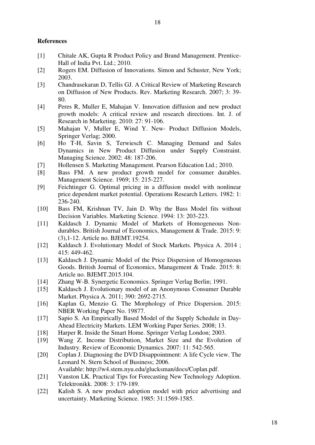#### **References**

- [1] Chitale AK, Gupta R Product Policy and Brand Management. Prentice-Hall of India Pvt. Ltd.; 2010.
- [2] Rogers EM. Diffusion of Innovations. Simon and Schuster, New York; 2003.
- [3] Chandrasekaran D, Tellis GJ. A Critical Review of Marketing Research on Diffusion of New Products. Rev. Marketing Research. 2007; 3: 39- 80.
- [4] Peres R, Muller E, Mahajan V. Innovation diffusion and new product growth models: A critical review and research directions. Int. J. of Research in Marketing. 2010: 27: 91-106.
- [5] Mahajan V, Muller E, Wind Y. New- Product Diffusion Models, Springer Verlag; 2000.
- [6] Ho T-H, Savin S, Terwiesch C. Managing Demand and Sales Dynamics in New Product Diffusion under Supply Constraint. Managing Science. 2002: 48: 187-206.
- [7] Hollensen S. Marketing Management. Pearson Education Ltd.; 2010.
- [8] Bass FM. A new product growth model for consumer durables. Management Science. 1969; 15: 215-227.
- [9] Feichtinger G. Optimal pricing in a diffusion model with nonlinear price dependent market potential. Operations Research Letters. 1982: 1: 236-240.
- [10] Bass FM, Krishnan TV, Jain D. Why the Bass Model fits without Decision Variables. Marketing Science. 1994: 13: 203-223.
- [11] Kaldasch J. Dynamic Model of Markets of Homogeneous Nondurables. British Journal of Economics, Management & Trade. 2015: 9: (3),1-12. Article no. BJEMT.19254.
- [12] Kaldasch J. Evolutionary Model of Stock Markets. Physica A. 2014 ; 415: 449-462.
- [13] Kaldasch J. Dynamic Model of the Price Dispersion of Homogeneous Goods. British Journal of Economics, Management & Trade. 2015: 8: Article no. BJEMT.2015.104.
- [14] Zhang W-B. Synergetic Economics. Springer Verlag Berlin; 1991.
- [15] Kaldasch J. Evolutionary model of an Anonymous Consumer Durable Market. Physica A. 2011; 390: 2692-2715.
- [16] Kaplan G, Menzio G. The Morphology of Price Dispersion. 2015: NBER Working Paper No. 19877.
- [17] Sapio S. An Empirically Based Model of the Supply Schedule in Day-Ahead Electricity Markets. LEM Working Paper Series. 2008; 13.
- [18] Harper R. Inside the Smart Home. Springer Verlag London; 2003.
- [19] Wang Z. Income Distribution, Market Size and the Evolution of Industry. Review of Economic Dynamics. 2007: 11: 542-565.
- [20] Coplan J. Diagnosing the DVD Disappointment: A life Cycle view. The Leonard N. Stern School of Business; 2006.

Available: http://w4.stem.nyu.edu/glucksman/docs/Coplan.pdf.

- [21] Vanston LK. Practical Tips for Forecasting New Technology Adoption. Telektronikk. 2008: 3: 179-189.
- [22] Kalish S. A new product adoption model with price advertising and uncertainty. Marketing Science. 1985: 31:1569-1585.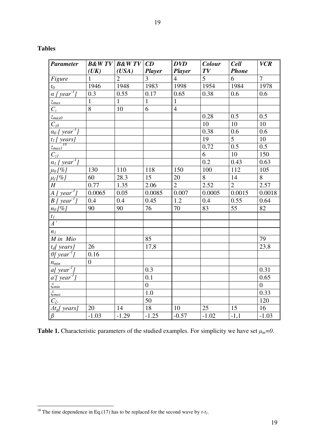| I<br>I<br>٠<br>×, |
|-------------------|
|-------------------|

| 'DIE<br>я |
|-----------|
|-----------|

-

| <b>Parameter</b>                            | (UK)           | $B\&WTV$ $B\&WTV$ $CD$<br>(USA) | <b>Player</b>   | <b>DVD</b><br>Player | Colour<br>TV   | <b>Cell</b><br><b>Phone</b> | <b>VCR</b>     |
|---------------------------------------------|----------------|---------------------------------|-----------------|----------------------|----------------|-----------------------------|----------------|
| Figure                                      | $\mathbf{1}$   | $\overline{2}$                  | $\overline{3}$  | $\overline{4}$       | $\overline{5}$ | $\overline{6}$              | $\overline{7}$ |
| $t_0$                                       | 1946           | 1948                            | 1983            | 1998                 | 1954           | 1984                        | 1978           |
| $\alpha$ [year <sup>-1</sup> ]              | 0.3            | 0.55                            | 0.17            | 0.65                 | 0.38           | 0.6                         | 0.6            |
| $z_{max}$                                   | $\mathbf{1}$   | $\mathbf{1}$                    | $\mathbf{1}$    | $\mathbf{1}$         |                |                             |                |
| $C_z$                                       | $\overline{8}$ | 10                              | $\overline{6}$  | $\overline{4}$       |                |                             |                |
| $\mathcal{Z}_{maxO}$                        |                |                                 |                 |                      | 0.28           | 0.5                         | 0.5            |
| $C_{z0}$                                    |                |                                 |                 |                      | 10             | 10                          | 10             |
| $a_0$ [ year <sup>-1</sup> ]                |                |                                 |                 |                      | 0.38           | $0.6\,$                     | 0.6            |
| $\frac{t_1 \left[\text{ years}\right]}{18}$ |                |                                 |                 |                      | 19             | $\overline{5}$              | 10             |
| $z_{max1}^{I\delta}$                        |                |                                 |                 |                      | 0,72           | 0.5                         | 0.5            |
| $C_{z1}$                                    |                |                                 |                 |                      | 6              | 10                          | 150            |
| $a_l$ [ year <sup>-1</sup> ]                |                |                                 |                 |                      | 0.2            | 0.43                        | 0.63           |
| $\mu_0$ [%]                                 | 130            | 110                             | 118             | 150                  | 100            | 112                         | 105            |
| $\mu_f$ [%]                                 | 60             | 28.3                            | 15              | 20                   | $\overline{8}$ | 14                          | $\overline{8}$ |
| $H_{-}$                                     | 0.77           | 1.35                            | 2.06            | $\overline{2}$       | 2.52           | $\overline{2}$              | 2.57           |
| $A \mid year^{\textit{I}}$                  | 0.0065         | 0.05                            | 0.0085          | 0.007                | 0.0005         | 0.0015                      | 0.0018         |
| $B$ [ year <sup>-1</sup> ]                  | 0.4            | 0.4                             | 0.45            | 1.2                  | 0.4            | 0.55                        | 0.64           |
| $n_0$ [%]                                   | 90             | 90                              | 76              | 70                   | 83             | 55                          | 82             |
| $t_I$                                       |                |                                 |                 |                      |                |                             |                |
| $\overline{A}$ ,                            |                |                                 |                 |                      |                |                             |                |
| n <sub>I</sub>                              |                |                                 |                 |                      |                |                             |                |
| M in Mio                                    |                |                                 | 85              |                      |                |                             | 79             |
| $t_d$ [ years]                              | 26             |                                 | 17,8            |                      |                |                             | 23.8           |
| $\theta$ [year <sup>-1</sup> ]              | 0.16           |                                 |                 |                      |                |                             |                |
| $n_{min}$                                   | $\overline{0}$ |                                 |                 |                      |                |                             |                |
| a[year']                                    |                |                                 | 0.3             |                      |                |                             | 0.31           |
| $a'$ [year <sup>-1</sup> ]                  |                |                                 | 0.1             |                      |                |                             | 0.65           |
| $\xi_{min}$                                 |                |                                 | $\overline{0}$  |                      |                |                             | $\overline{0}$ |
| $\xi_{max}$                                 |                |                                 | 1.0             |                      |                |                             | 0.33           |
| $C_{\xi}$ .                                 |                |                                 | $\overline{50}$ |                      |                |                             | 120            |
| $\Delta t_e$ [ years]                       | 20             | 14                              | $\overline{18}$ | 10                   | 25             | 15                          | 16             |
| $\overline{\beta}$                          | $-1.03$        | $-1.29$                         | $-1.25$         | $-0.57$              | $-1.02$        | $-1,1$                      | $-1.03$        |

**Table 1.** Characteristic parameters of the studied examples. For simplicity we have set  $\mu_m = 0$ .

 $\overline{\phantom{a}}$ 

<sup>&</sup>lt;sup>18</sup> The time dependence in Eq.(17) has to be replaced for the second wave by  $t-t_1$ .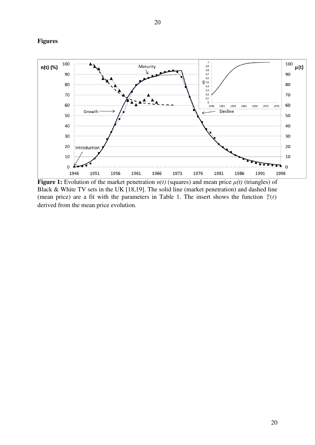### **Figures**



**Figure 1:** Evolution of the market penetration *n(t)* (squares) and mean price *μ(t)* (triangles) of Black & White TV sets in the UK [18,19]. The solid line (market penetration) and dashed line (mean price) are a fit with the parameters in Table 1. The insert shows the function  $\tilde{z}(t)$ derived from the mean price evolution.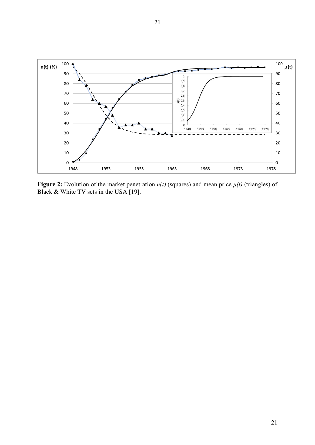

**Figure 2:** Evolution of the market penetration *n(t)* (squares) and mean price *μ(t)* (triangles) of Black & White TV sets in the USA [19].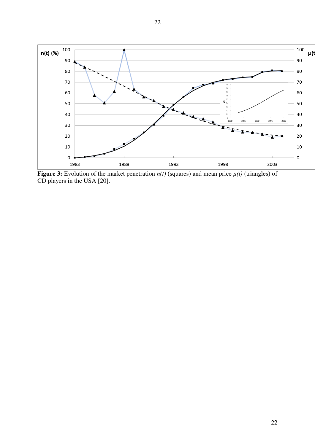

**Figure 3:** Evolution of the market penetration  $n(t)$  (squares) and mean price  $\mu(t)$  (triangles) of CD players in the USA [20].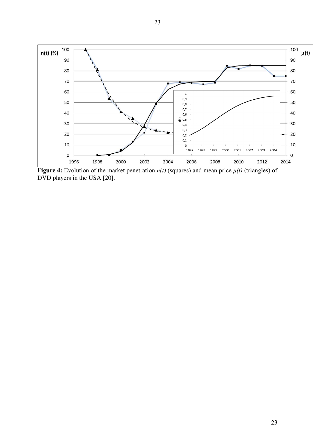

**Figure 4:** Evolution of the market penetration  $n(t)$  (squares) and mean price  $\mu(t)$  (triangles) of DVD players in the USA [20].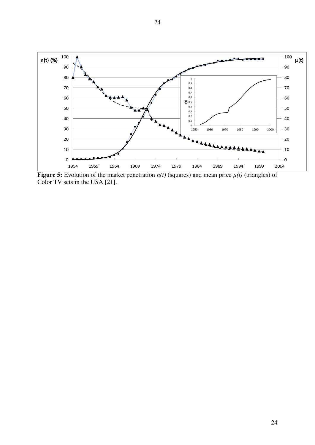

**Figure 5:** Evolution of the market penetration  $n(t)$  (squares) and mean price  $\mu(t)$  (triangles) of Color TV sets in the USA [21].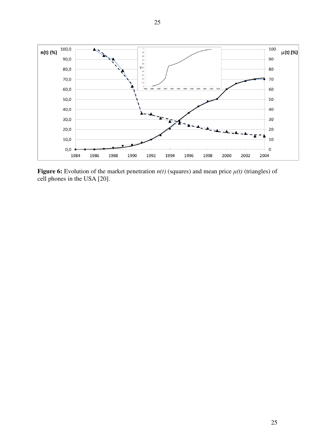

**Figure 6:** Evolution of the market penetration  $n(t)$  (squares) and mean price  $\mu(t)$  (triangles) of cell phones in the USA [20].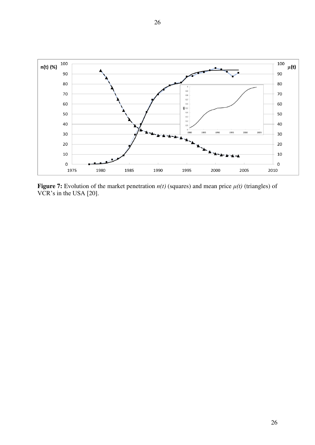

**Figure 7:** Evolution of the market penetration  $n(t)$  (squares) and mean price  $\mu(t)$  (triangles) of VCR's in the USA [20].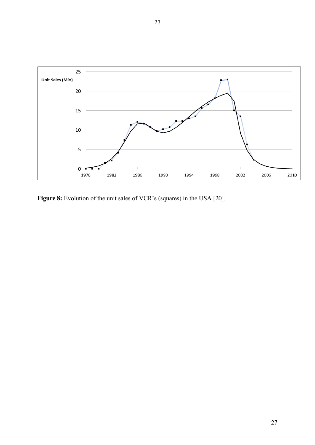

Figure 8: Evolution of the unit sales of VCR's (squares) in the USA [20].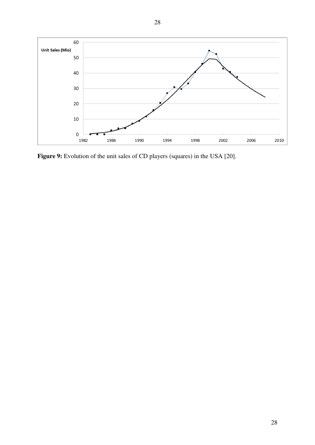

Figure 9: Evolution of the unit sales of CD players (squares) in the USA [20].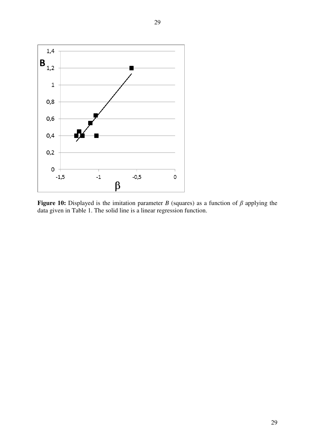

**Figure 10:** Displayed is the imitation parameter *B* (squares) as a function of *β* applying the data given in Table 1. The solid line is a linear regression function.